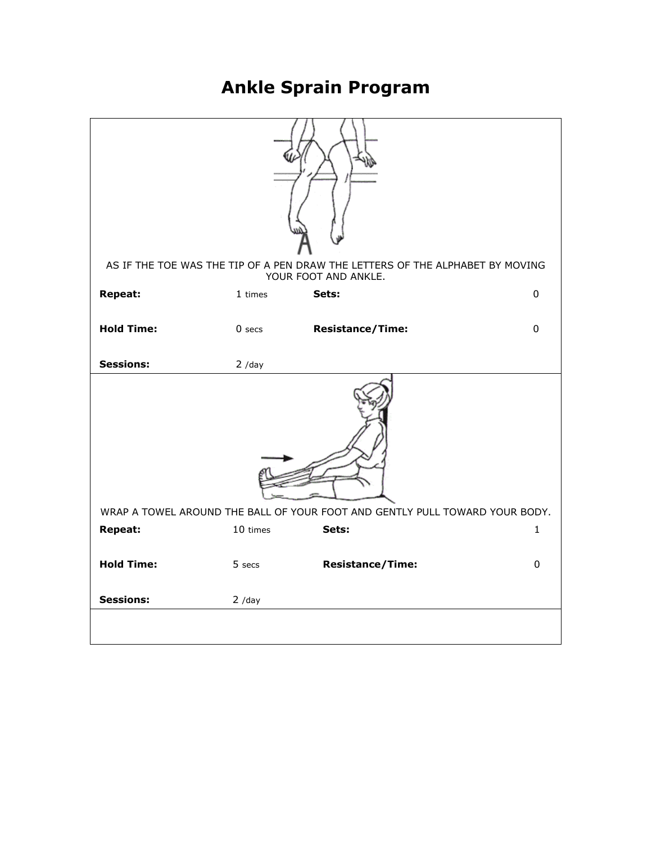## **Ankle Sprain Program**

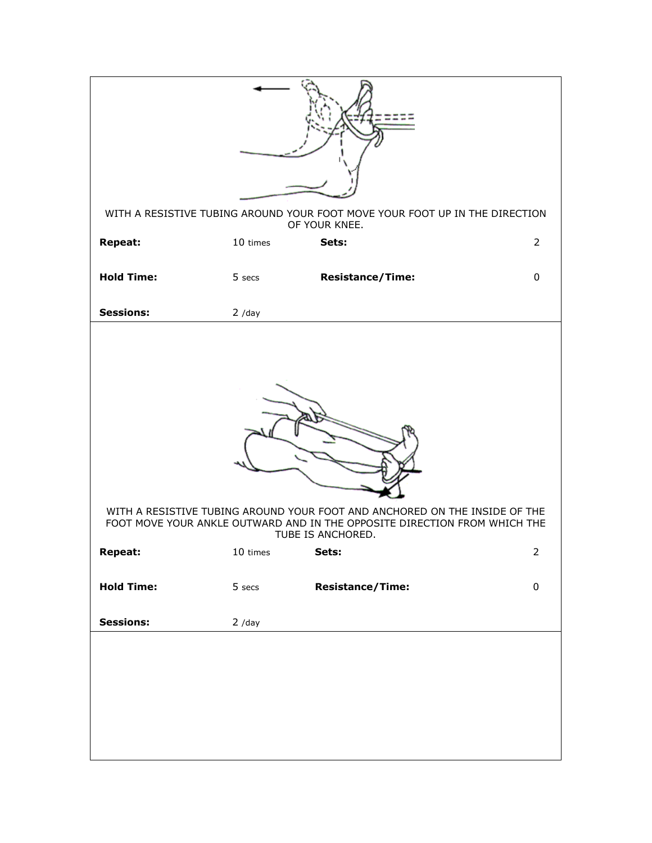| WITH A RESISTIVE TUBING AROUND YOUR FOOT MOVE YOUR FOOT UP IN THE DIRECTION<br>OF YOUR KNEE.                                                                                 |          |                         |                |  |  |
|------------------------------------------------------------------------------------------------------------------------------------------------------------------------------|----------|-------------------------|----------------|--|--|
| <b>Repeat:</b>                                                                                                                                                               | 10 times | Sets:                   | $\overline{2}$ |  |  |
| <b>Hold Time:</b>                                                                                                                                                            | 5 secs   | <b>Resistance/Time:</b> | $\pmb{0}$      |  |  |
| <b>Sessions:</b>                                                                                                                                                             | $2$ /day |                         |                |  |  |
| WITH A RESISTIVE TUBING AROUND YOUR FOOT AND ANCHORED ON THE INSIDE OF THE<br>FOOT MOVE YOUR ANKLE OUTWARD AND IN THE OPPOSITE DIRECTION FROM WHICH THE<br>TUBE IS ANCHORED. |          |                         |                |  |  |
| Repeat:                                                                                                                                                                      | 10 times | Sets:                   | 2              |  |  |
| <b>Hold Time:</b>                                                                                                                                                            | 5 secs   | <b>Resistance/Time:</b> | $\pmb{0}$      |  |  |
| <b>Sessions:</b>                                                                                                                                                             | $2$ /day |                         |                |  |  |
|                                                                                                                                                                              |          |                         |                |  |  |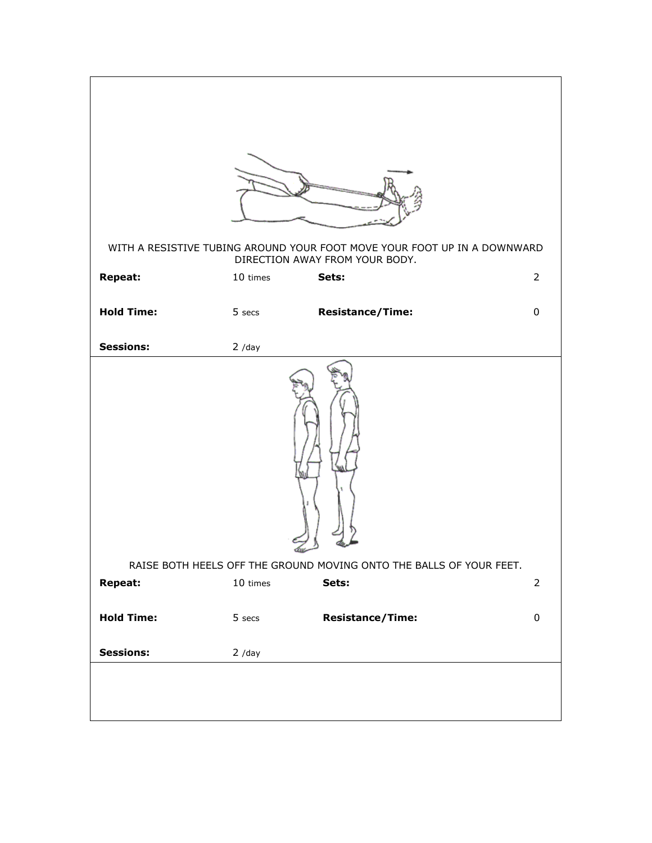